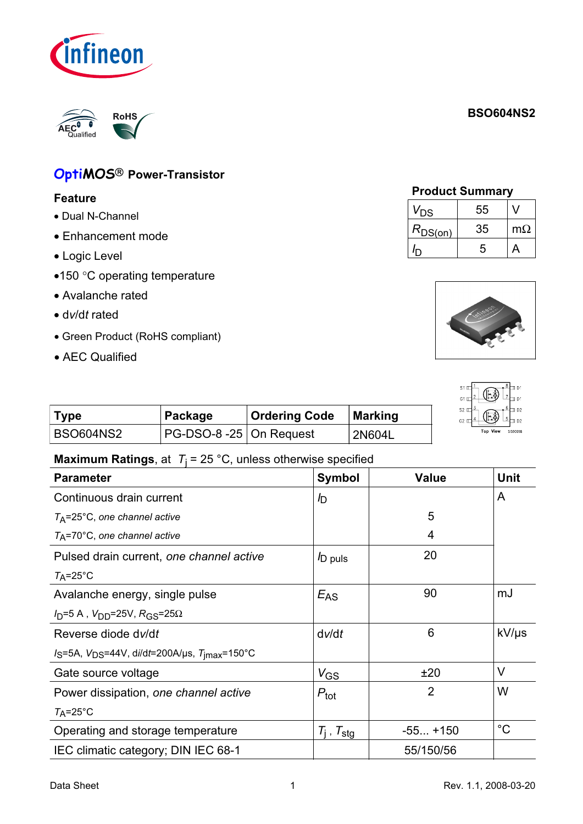# **BSO604NS2**

# **OptiMOS<sup>®</sup> Power-Transistor**

**RoHS** 

#### **Feature**

- Dual N-Channel
- Enhancement mode
- Logic Level
- •150 °C operating temperature
- Avalanche rated
- $\bullet$  dv/dt rated
- •Green Product (RoHS compliant)
- •AEC Qualified

|  | <b>Product Summary</b> |
|--|------------------------|
|  |                        |

| V <sub>DS</sub> | 55 |           |
|-----------------|----|-----------|
| $R_{DS(on)}$    | 35 | $m\Omega$ |
|                 | 5  |           |



|           |                          |                      |         | S1 IT∎<br><u> அர</u> ாவ<br>小心<br>$G1 \pi^{2+}$<br>21–ա թյ |
|-----------|--------------------------|----------------------|---------|-----------------------------------------------------------|
| Type      | Package                  | <b>Ordering Code</b> | Marking | + ® ⊡<br>$S2 \Box$<br>(同分<br>$G2 \pm 4$<br><u>5 ⊞ p2</u>  |
| BSO604NS2 | $PG-DSO-8-25$ On Request |                      | 2N604L  | <b>Top View</b><br><b>SIS00058</b>                        |

#### **Maximum Ratings**, at  $T_1 = 25$  °C, unless otherwise specified

| <b>Parameter</b>                                                  | <b>Symbol</b>            | <b>Value</b>   | <b>Unit</b> |
|-------------------------------------------------------------------|--------------------------|----------------|-------------|
| Continuous drain current                                          | b                        |                | A           |
| $T_A$ =25°C, one channel active                                   |                          | 5              |             |
| $T_A$ =70°C, one channel active                                   |                          | 4              |             |
| Pulsed drain current, one channel active                          | D puls                   | 20             |             |
| $T_A = 25^{\circ}C$                                               |                          |                |             |
| Avalanche energy, single pulse                                    | $E_{AS}$                 | 90             | mJ          |
| $I_D = 5$ A, $V_{DD} = 25V$ , $R_{GS} = 25\Omega$                 |                          |                |             |
| Reverse diode dv/dt                                               | dv/dt                    | 6              | $kV/\mu s$  |
| $I_S$ =5A, $V_{DS}$ =44V, di/dt=200A/µs, $T_{\text{imax}}$ =150°C |                          |                |             |
| Gate source voltage                                               | $V_{G\underline{S}}$     | ±20            | V           |
| Power dissipation, one channel active                             | $P_{\text{tot}}$         | $\overline{2}$ | W           |
| $T_A = 25^{\circ}C$                                               |                          |                |             |
| Operating and storage temperature                                 | $T_i$ , $T_{\text{stg}}$ | $-55+150$      | $^{\circ}C$ |
| IEC climatic category; DIN IEC 68-1                               |                          | 55/150/56      |             |

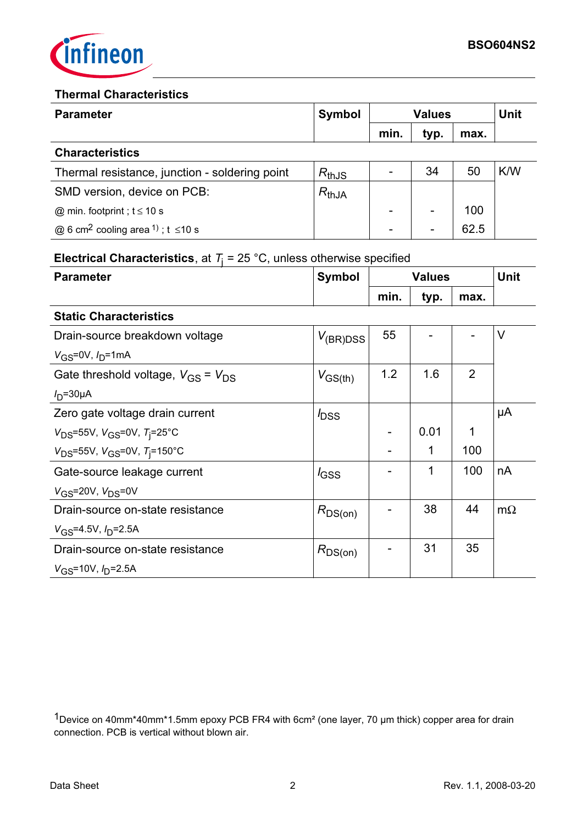

#### **Thermal Characteristics**

| <b>Parameter</b>                                               | Symbol     | <b>Values</b> |                          | Unit |     |
|----------------------------------------------------------------|------------|---------------|--------------------------|------|-----|
|                                                                |            | min.          | typ.                     | max. |     |
| <b>Characteristics</b>                                         |            |               |                          |      |     |
| Thermal resistance, junction - soldering point                 | $R_{thJS}$ |               | 34                       | 50   | K/W |
| SMD version, device on PCB:                                    | $R_{thJA}$ |               |                          |      |     |
| @ min. footprint; $t \le 10$ s                                 |            |               |                          | 100  |     |
| @ 6 cm <sup>2</sup> cooling area <sup>1</sup> ); t $\leq$ 10 s |            |               | $\overline{\phantom{0}}$ | 62.5 |     |
|                                                                |            |               |                          |      |     |

# **Electrical Characteristics**, at  $T_i = 25$  °C, unless otherwise specified

| <b>Parameter</b>              | <b>Symbol</b> | <b>Values</b> |      | <b>Unit</b> |  |
|-------------------------------|---------------|---------------|------|-------------|--|
|                               |               | min.          | typ. | max.        |  |
| <b>Static Characteristics</b> |               |               |      |             |  |

| olalio Onaraolonsuos                        |                   |     |      |                |           |
|---------------------------------------------|-------------------|-----|------|----------------|-----------|
| Drain-source breakdown voltage              | $V_{\rm (BR)DSS}$ | 55  |      |                | V         |
| $V_{GS} = 0V$ , $I_{D} = 1$ mA              |                   |     |      |                |           |
| Gate threshold voltage, $V_{GS}$ = $V_{DS}$ | $V_{GS(th)}$      | 1.2 | 1.6  | $\overline{2}$ |           |
| $I_D = 30\mu A$                             |                   |     |      |                |           |
| Zero gate voltage drain current             | $I_{\text{DSS}}$  |     |      |                | μA        |
| $V_{DS}$ =55V, $V_{GS}$ =0V, $T_{i}$ =25°C  |                   |     | 0.01 | 1              |           |
| $V_{DS}$ =55V, $V_{GS}$ =0V, $T_i$ =150°C   |                   |     | 1    | 100            |           |
| Gate-source leakage current                 | $I_{\text{GSS}}$  |     | 1    | 100            | nA        |
| $V_{\rm GS}$ =20V, $V_{\rm DS}$ =0V         |                   |     |      |                |           |
| Drain-source on-state resistance            | $R_{DS(on)}$      |     | 38   | 44             | $m\Omega$ |
| $V_{\rm GS}$ =4.5V, $I_{\rm D}$ =2.5A       |                   |     |      |                |           |
| Drain-source on-state resistance            | $R_{DS(on)}$      |     | 31   | 35             |           |
| $V_{GS}$ =10V, $I_{D}$ =2.5A                |                   |     |      |                |           |

<sup>1</sup>Device on 40mm\*40mm\*1.5mm epoxy PCB FR4 with 6cm<sup>2</sup> (one layer, 70 µm thick) copper area for drain connection. PCB is vertical without blown air.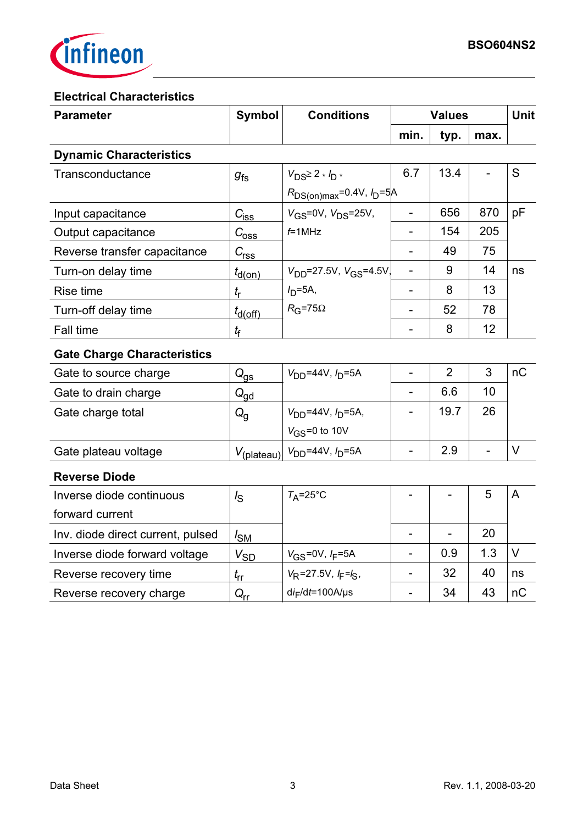

### **Electrical Characteristics**

| <b>Parameter</b>                   | <b>Symbol</b><br><b>Conditions</b> |                                     | <b>Values</b>            |                |      | <b>Unit</b>    |
|------------------------------------|------------------------------------|-------------------------------------|--------------------------|----------------|------|----------------|
|                                    |                                    |                                     | min.                     | typ.           | max. |                |
| <b>Dynamic Characteristics</b>     |                                    |                                     |                          |                |      |                |
| Transconductance                   | $g_{\text{fs}}$                    | $V_{DS} \geq 2 * I_{D} *$           | 6.7                      | 13.4           |      | S              |
|                                    |                                    | $R_{DS(on)max} = 0.4V$ , $I_D = 5A$ |                          |                |      |                |
| Input capacitance                  | $C_{i$                             | $V_{GS}$ =0V, $V_{DS}$ =25V,        | ÷,                       | 656            | 870  | pF             |
| Output capacitance                 | $C_{\rm{0SS}}$                     | $f=1$ MHz                           |                          | 154            | 205  |                |
| Reverse transfer capacitance       | $C_{\rm rss}$                      |                                     |                          | 49             | 75   |                |
| Turn-on delay time                 | $t_{d(on)}$                        | $V_{DD}$ =27.5V, $V_{GS}$ =4.5V,    | $\blacksquare$           | 9              | 14   | ns             |
| Rise time                          | $t_{\sf r}$                        | $ID=5A$ ,                           | $\overline{\phantom{0}}$ | 8              | 13   |                |
| Turn-off delay time                | $t_{d(Off)}$                       | $R_G$ =75 $\Omega$                  | $\overline{\phantom{0}}$ | 52             | 78   |                |
| Fall time                          | $t_{\mathsf{f}}$                   |                                     |                          | 8              | 12   |                |
| <b>Gate Charge Characteristics</b> |                                    |                                     |                          |                |      |                |
| Gate to source charge              | $Q_{\underline{\mathsf{gs}}}$      | $V_{DD} = 44V, I_D = 5A$            | $\blacksquare$           | $\overline{2}$ | 3    | nC             |
| Gate to drain charge               | $Q_{\underline{gd}}$               |                                     |                          | 6.6            | 10   |                |
| Gate charge total                  | $Q_{q}$                            | $V_{DD} = 44V, I_D = 5A,$           |                          | 19.7           | 26   |                |
|                                    |                                    | $V_{GS}$ =0 to 10V                  |                          |                |      |                |
| Gate plateau voltage               | $V_{(\text{plateau})}$             | $V_{DD} = 44V, I_D = 5A$            | L,                       | 2.9            | L,   | $\vee$         |
| <b>Reverse Diode</b>               |                                    |                                     |                          |                |      |                |
| Inverse diode continuous           | $I_{\rm S}$                        | $T_A = 25^\circ C$                  |                          |                | 5    | $\overline{A}$ |
| forward current                    |                                    |                                     |                          |                |      |                |
| Inv. diode direct current, pulsed  | $I_{\text{SM}}$                    |                                     | $\overline{\phantom{a}}$ |                | 20   |                |
| Inverse diode forward voltage      | $V_{S\underline{D}}$               | $V_{GS} = 0V, I_F = 5A$             |                          | 0.9            | 1.3  | $\vee$         |
| Reverse recovery time              | $t_{rr}$                           | $V_R$ =27.5V, $I_F = I_S$ ,         |                          | 32             | 40   | ns             |
| Reverse recovery charge            | $Q_{\underline{\text{rr}}}$        | $di_F/dt = 100A/\mu s$              |                          | 34             | 43   | nC             |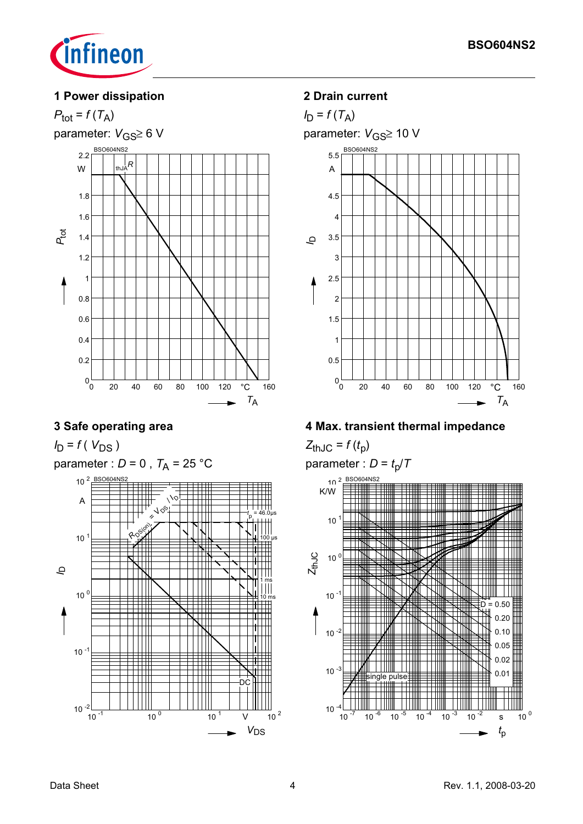

#### 1 Power dissipation



#### 3 Safe operating area

 $I_D = f(V_{DS})$ 

parameter :  $D = 0$ ,  $T_A = 25$  °C



#### 2 Drain current



4 Max. transient thermal impedance

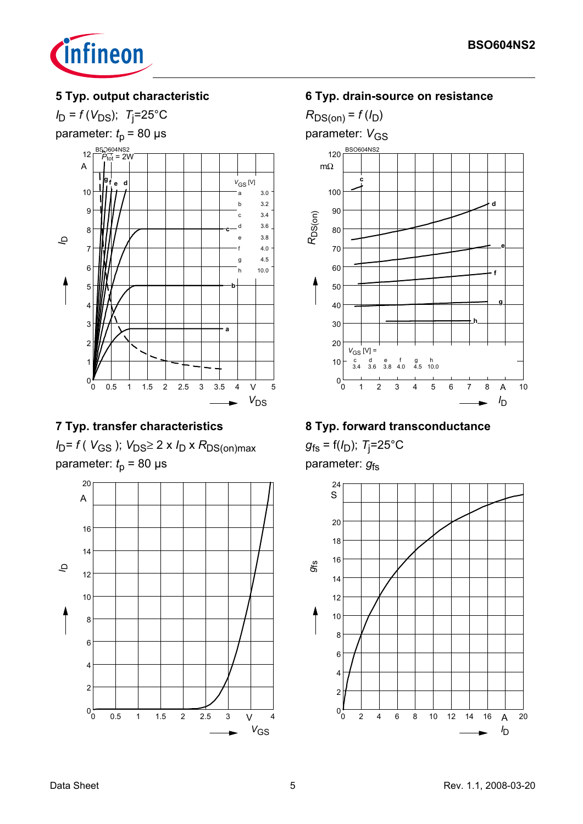

### 5 Typ. output characteristic

 $I_D = f(V_{DS})$ ; T<sub>i</sub>=25°C



## 7 Typ. transfer characteristics

 $I_D = f(V_{GS})$ ;  $V_{DS} \ge 2 \times I_D \times R_{DS(on)max}$ parameter:  $t_0$  = 80 µs



#### 6 Typ. drain-source on resistance

 $R_{DS(on)} = f(I_D)$ parameter: V<sub>GS</sub> **BSO604NS** 120  $m\Omega$ c 100  $\mathbf d$ 90 R<sub>DS(on)</sub> 80 70 60  $\mathbf f$ 50 40 30 20  $V_{GS}$  [V] =  $\overline{h}$  $\mathsf{d}$  $\mathbf{e}$  $g$  h<br>4.5 10.0  $C$  d e f<br>3.4 3.6 3.8 4.0  $10$  $0^{\text{L}}_{0}$  $\overline{1}$  $\overline{2}$  $\mathbf{3}$  $\overline{\mathbf{4}}$  $\sqrt{5}$  $\,6$ 8  $\overline{A}$  $10$  $I_{\text{D}}$ 

### 8 Typ. forward transconductance

 $g_{fs} = f(I_D); T_i = 25^{\circ}C$ parameter:  $g_{fs}$ 

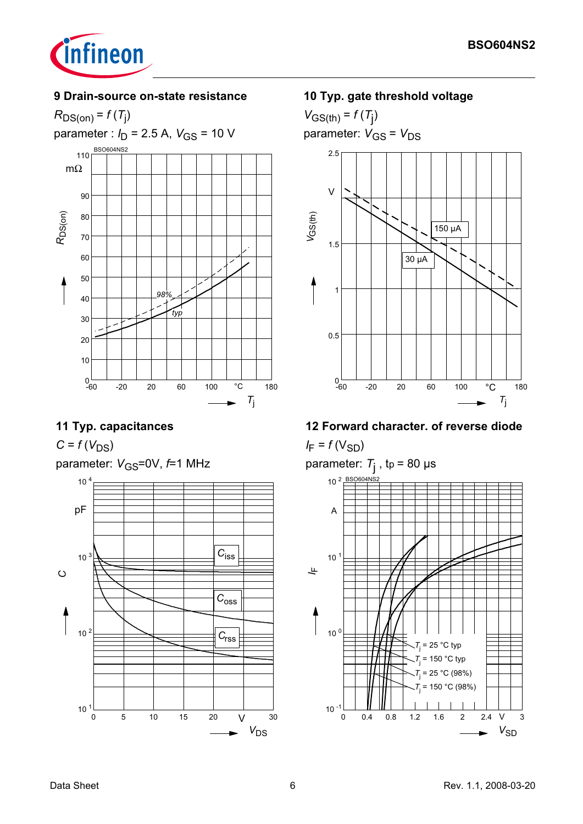

#### 9 Drain-source on-state resistance



## 11 Typ. capacitances

 $C = f(V_{DS})$ 

parameter:  $V_{\text{GS}} = 0V$ ,  $f = 1$  MHz



### 10 Typ. gate threshold voltage

 $V_{GS(th)} = f(T_i)$ parameter:  $V_{GS} = V_{DS}$ 



## 12 Forward character. of reverse diode

 $I_F = f(V_{SD})$ 

parameter:  $T_{\text{j}}$ , tp = 80 µs



Data Sheet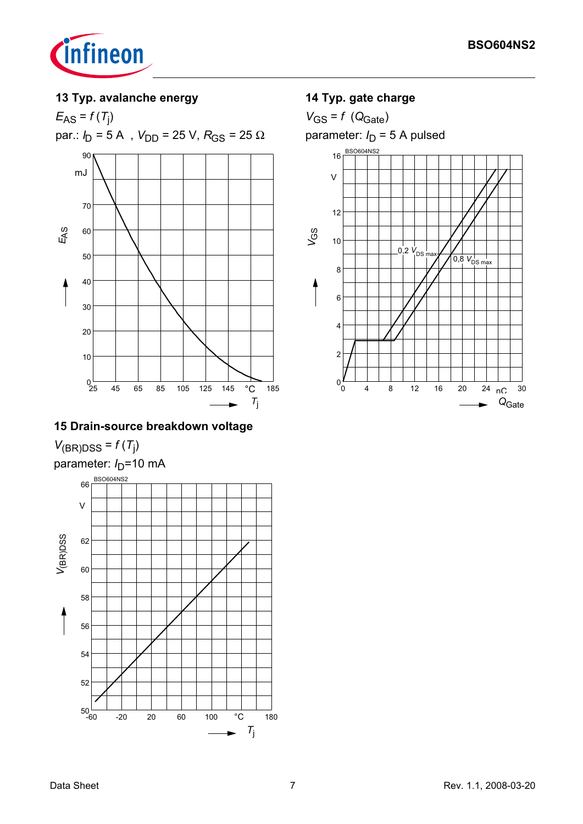

#### 13 Typ. avalanche energy

 $E_{AS} = f(T_i)$ par.:  $I_D$  = 5 A ,  $V_{DD}$  = 25 V,  $R_{GS}$  = 25  $\Omega$ 90 mJ 70 EAS 60 50 40  $30$ 20  $10$  $9\overline{5}$ 185 45 65 85 105 125 145  $^{\circ}{\rm C}$  $T_{\rm j}$ 

## 15 Drain-source breakdown voltage

 $V_{(BR)DSS} = f(T_j)$ 

parameter:  $I_D$ =10 mA



# 14 Typ. gate charge

 $V_{GS} = f (Q_{Gate})$ 

parameter:  $I_D = 5$  A pulsed

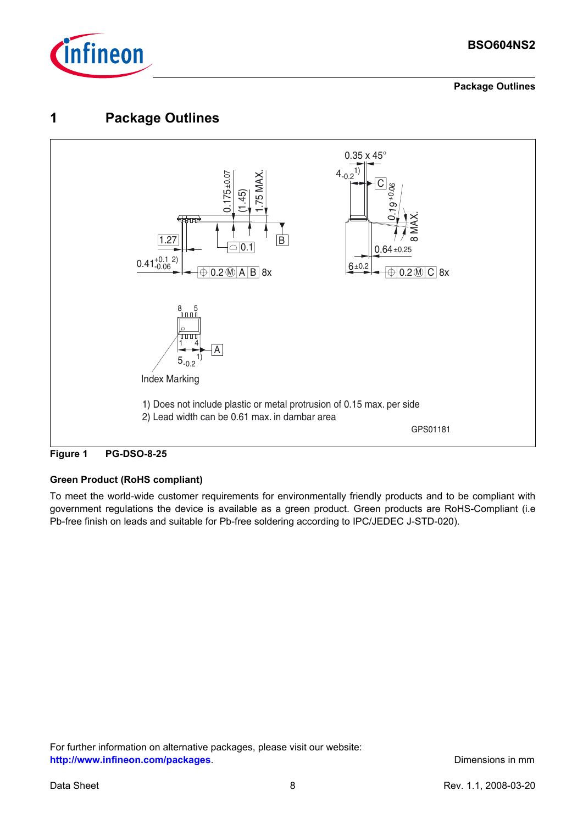

**Package Outlines**

## **1 Package Outlines**





#### **Green Product (RoHS compliant)**

To meet the world-wide customer requirements for environmentally friendly products and to be compliant with government regulations the device is available as a green product. Green products are RoHS-Compliant (i.e Pb-free finish on leads and suitable for Pb-free soldering according to IPC/JEDEC J-STD-020).

For further information on alternative packages, please visit our website: **[http://www.infineon.com/packages](http://www.infineon.com/packages/)**. **Dimensions in mm**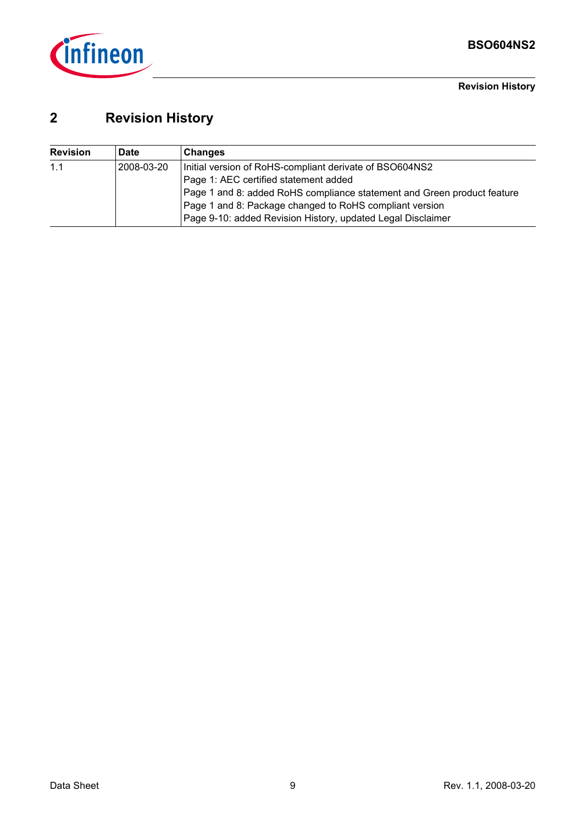

**Revision History**

# **2 Revision History**

| <b>Revision</b> | <b>Date</b> | <b>Changes</b>                                                          |
|-----------------|-------------|-------------------------------------------------------------------------|
| 1.1             | 2008-03-20  | Initial version of RoHS-compliant derivate of BSO604NS2                 |
|                 |             | Page 1: AEC certified statement added                                   |
|                 |             | Page 1 and 8: added RoHS compliance statement and Green product feature |
|                 |             | Page 1 and 8: Package changed to RoHS compliant version                 |
|                 |             | Page 9-10: added Revision History, updated Legal Disclaimer             |